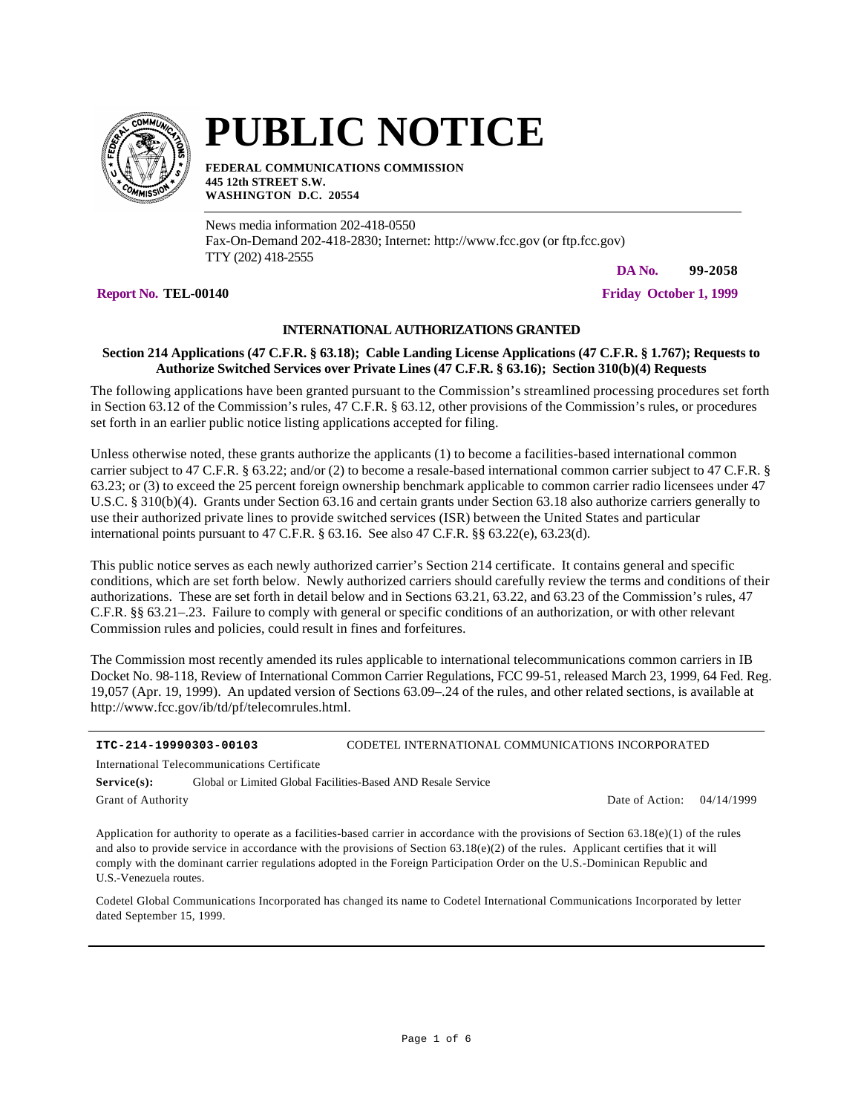

## **PUBLIC NOTICE**

**FEDERAL COMMUNICATIONS COMMISSION 445 12th STREET S.W. WASHINGTON D.C. 20554**

News media information 202-418-0550 Fax-On-Demand 202-418-2830; Internet: http://www.fcc.gov (or ftp.fcc.gov) TTY (202) 418-2555

**DA No. 99-2058**

**Report No. TEL-00140 Friday October 1, 1999**

**INTERNATIONAL AUTHORIZATIONS GRANTED**

## **Section 214 Applications (47 C.F.R. § 63.18); Cable Landing License Applications (47 C.F.R. § 1.767); Requests to Authorize Switched Services over Private Lines (47 C.F.R. § 63.16); Section 310(b)(4) Requests**

The following applications have been granted pursuant to the Commission's streamlined processing procedures set forth in Section 63.12 of the Commission's rules, 47 C.F.R. § 63.12, other provisions of the Commission's rules, or procedures set forth in an earlier public notice listing applications accepted for filing.

Unless otherwise noted, these grants authorize the applicants (1) to become a facilities-based international common carrier subject to 47 C.F.R. § 63.22; and/or (2) to become a resale-based international common carrier subject to 47 C.F.R. § 63.23; or (3) to exceed the 25 percent foreign ownership benchmark applicable to common carrier radio licensees under 47 U.S.C. § 310(b)(4). Grants under Section 63.16 and certain grants under Section 63.18 also authorize carriers generally to use their authorized private lines to provide switched services (ISR) between the United States and particular international points pursuant to 47 C.F.R. § 63.16. See also 47 C.F.R. §§ 63.22(e), 63.23(d).

This public notice serves as each newly authorized carrier's Section 214 certificate. It contains general and specific conditions, which are set forth below. Newly authorized carriers should carefully review the terms and conditions of their authorizations. These are set forth in detail below and in Sections 63.21, 63.22, and 63.23 of the Commission's rules, 47 C.F.R. §§ 63.21–.23. Failure to comply with general or specific conditions of an authorization, or with other relevant Commission rules and policies, could result in fines and forfeitures.

The Commission most recently amended its rules applicable to international telecommunications common carriers in IB Docket No. 98-118, Review of International Common Carrier Regulations, FCC 99-51, released March 23, 1999, 64 Fed. Reg. 19,057 (Apr. 19, 1999). An updated version of Sections 63.09–.24 of the rules, and other related sections, is available at http://www.fcc.gov/ib/td/pf/telecomrules.html.

| ITC-214-19990303-00103                       |  | CODETEL INTERNATIONAL COMMUNICATIONS INCORPORATED            |  |  |  |
|----------------------------------------------|--|--------------------------------------------------------------|--|--|--|
| International Telecommunications Certificate |  |                                                              |  |  |  |
| Service(s):                                  |  | Global or Limited Global Facilities-Based AND Resale Service |  |  |  |

Grant of Authority

Date of Action: 04/14/1999

Application for authority to operate as a facilities-based carrier in accordance with the provisions of Section  $63.18(e)(1)$  of the rules and also to provide service in accordance with the provisions of Section  $63.18(e)(2)$  of the rules. Applicant certifies that it will comply with the dominant carrier regulations adopted in the Foreign Participation Order on the U.S.-Dominican Republic and U.S.-Venezuela routes.

Codetel Global Communications Incorporated has changed its name to Codetel International Communications Incorporated by letter dated September 15, 1999.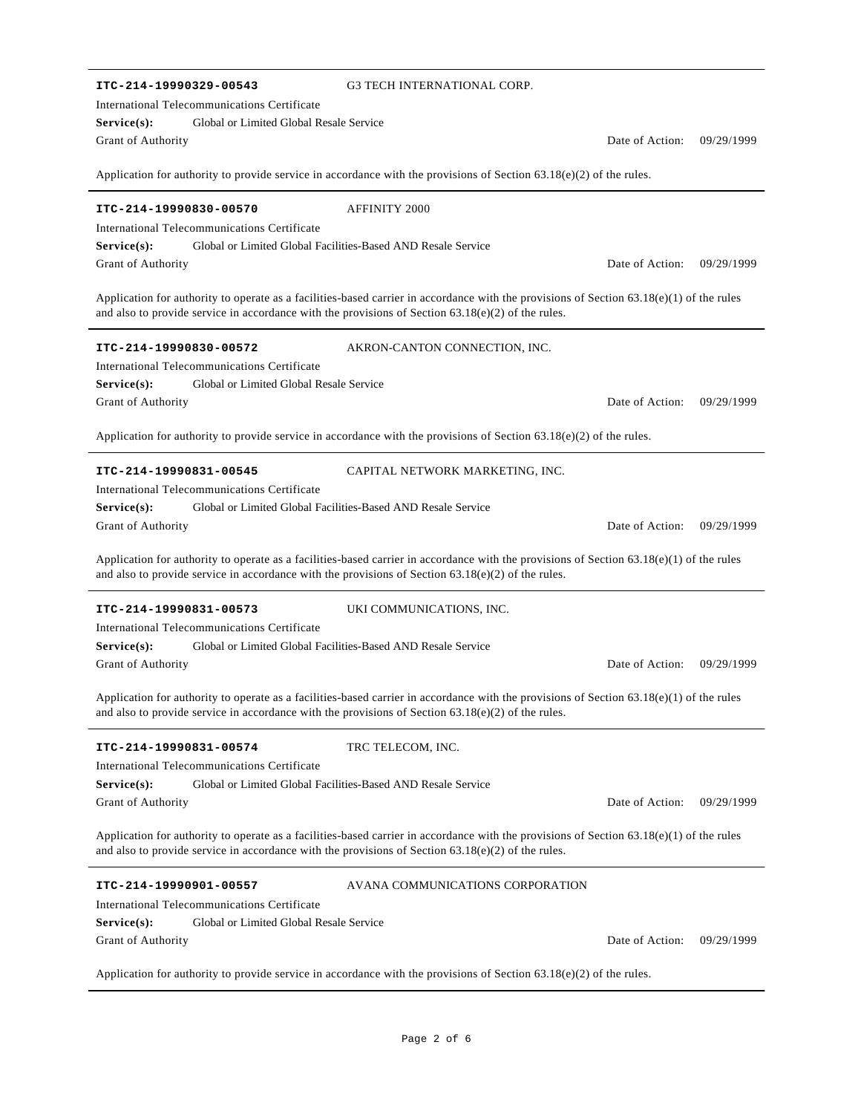| ITC-214-19990329-00543                                                                               | <b>G3 TECH INTERNATIONAL CORP.</b>                                                                                                         |                 |            |
|------------------------------------------------------------------------------------------------------|--------------------------------------------------------------------------------------------------------------------------------------------|-----------------|------------|
| International Telecommunications Certificate                                                         |                                                                                                                                            |                 |            |
| Global or Limited Global Resale Service<br>Service(s):                                               |                                                                                                                                            |                 |            |
| Grant of Authority                                                                                   |                                                                                                                                            | Date of Action: | 09/29/1999 |
|                                                                                                      |                                                                                                                                            |                 |            |
|                                                                                                      | Application for authority to provide service in accordance with the provisions of Section $63.18(e)(2)$ of the rules.                      |                 |            |
| ITC-214-19990830-00570                                                                               | <b>AFFINITY 2000</b>                                                                                                                       |                 |            |
| International Telecommunications Certificate                                                         |                                                                                                                                            |                 |            |
| Service(s):                                                                                          | Global or Limited Global Facilities-Based AND Resale Service                                                                               |                 |            |
| Grant of Authority                                                                                   |                                                                                                                                            | Date of Action: | 09/29/1999 |
| and also to provide service in accordance with the provisions of Section $63.18(e)(2)$ of the rules. | Application for authority to operate as a facilities-based carrier in accordance with the provisions of Section $63.18(e)(1)$ of the rules |                 |            |
| ITC-214-19990830-00572                                                                               | AKRON-CANTON CONNECTION, INC.                                                                                                              |                 |            |
| International Telecommunications Certificate                                                         |                                                                                                                                            |                 |            |
| Global or Limited Global Resale Service<br>Service(s):                                               |                                                                                                                                            |                 |            |
| Grant of Authority                                                                                   |                                                                                                                                            | Date of Action: | 09/29/1999 |
|                                                                                                      |                                                                                                                                            |                 |            |
|                                                                                                      | Application for authority to provide service in accordance with the provisions of Section 63.18(e)(2) of the rules.                        |                 |            |
| ITC-214-19990831-00545                                                                               | CAPITAL NETWORK MARKETING, INC.                                                                                                            |                 |            |
| International Telecommunications Certificate                                                         |                                                                                                                                            |                 |            |
| Service(s):                                                                                          | Global or Limited Global Facilities-Based AND Resale Service                                                                               |                 |            |
| Grant of Authority                                                                                   |                                                                                                                                            | Date of Action: | 09/29/1999 |
|                                                                                                      |                                                                                                                                            |                 |            |
| and also to provide service in accordance with the provisions of Section $63.18(e)(2)$ of the rules. | Application for authority to operate as a facilities-based carrier in accordance with the provisions of Section $63.18(e)(1)$ of the rules |                 |            |
| ITC-214-19990831-00573                                                                               | UKI COMMUNICATIONS, INC.                                                                                                                   |                 |            |
| International Telecommunications Certificate                                                         |                                                                                                                                            |                 |            |
| Service(s):                                                                                          | Global or Limited Global Facilities-Based AND Resale Service                                                                               |                 |            |
| Grant of Authority                                                                                   |                                                                                                                                            | Date of Action: | 09/29/1999 |
|                                                                                                      |                                                                                                                                            |                 |            |
| and also to provide service in accordance with the provisions of Section $63.18(e)(2)$ of the rules. | Application for authority to operate as a facilities-based carrier in accordance with the provisions of Section $63.18(e)(1)$ of the rules |                 |            |
| ITC-214-19990831-00574                                                                               | TRC TELECOM, INC.                                                                                                                          |                 |            |
| International Telecommunications Certificate                                                         |                                                                                                                                            |                 |            |
| Service(s):                                                                                          | Global or Limited Global Facilities-Based AND Resale Service                                                                               |                 |            |
| Grant of Authority                                                                                   |                                                                                                                                            | Date of Action: | 09/29/1999 |
|                                                                                                      |                                                                                                                                            |                 |            |
| and also to provide service in accordance with the provisions of Section $63.18(e)(2)$ of the rules. | Application for authority to operate as a facilities-based carrier in accordance with the provisions of Section $63.18(e)(1)$ of the rules |                 |            |
| ITC-214-19990901-00557                                                                               | AVANA COMMUNICATIONS CORPORATION                                                                                                           |                 |            |
| International Telecommunications Certificate                                                         |                                                                                                                                            |                 |            |
| Service(s):<br>Global or Limited Global Resale Service                                               |                                                                                                                                            |                 |            |
| Grant of Authority                                                                                   |                                                                                                                                            | Date of Action: | 09/29/1999 |
|                                                                                                      |                                                                                                                                            |                 |            |

Application for authority to provide service in accordance with the provisions of Section 63.18(e)(2) of the rules.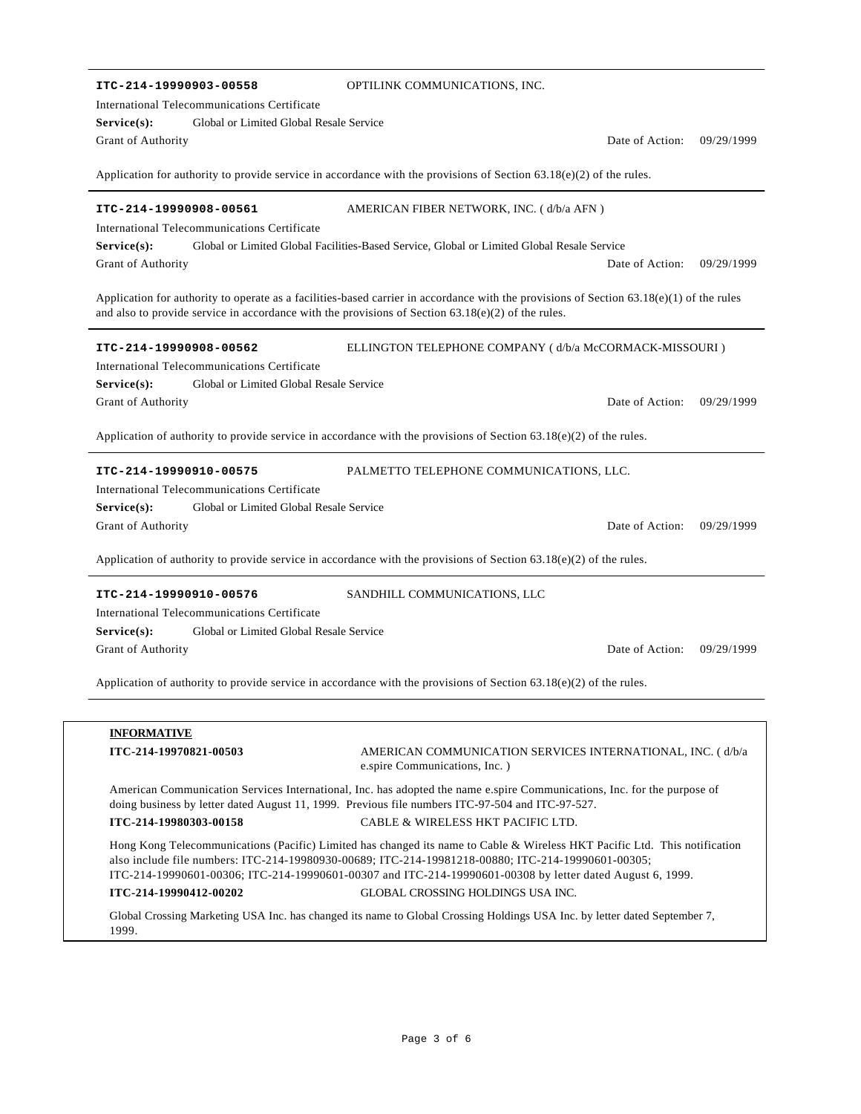| ITC-214-19990903-00558                                                                                                                                                                                                                             | OPTILINK COMMUNICATIONS, INC.                                                                                        |                 |            |  |  |  |
|----------------------------------------------------------------------------------------------------------------------------------------------------------------------------------------------------------------------------------------------------|----------------------------------------------------------------------------------------------------------------------|-----------------|------------|--|--|--|
| International Telecommunications Certificate                                                                                                                                                                                                       |                                                                                                                      |                 |            |  |  |  |
| Global or Limited Global Resale Service<br>Service(s):                                                                                                                                                                                             |                                                                                                                      |                 |            |  |  |  |
| <b>Grant of Authority</b>                                                                                                                                                                                                                          |                                                                                                                      | Date of Action: | 09/29/1999 |  |  |  |
| Application for authority to provide service in accordance with the provisions of Section $63.18(e)(2)$ of the rules.                                                                                                                              |                                                                                                                      |                 |            |  |  |  |
| ITC-214-19990908-00561                                                                                                                                                                                                                             | AMERICAN FIBER NETWORK, INC. (d/b/a AFN)                                                                             |                 |            |  |  |  |
| International Telecommunications Certificate                                                                                                                                                                                                       |                                                                                                                      |                 |            |  |  |  |
| Service(s):                                                                                                                                                                                                                                        | Global or Limited Global Facilities-Based Service, Global or Limited Global Resale Service                           |                 |            |  |  |  |
| Grant of Authority                                                                                                                                                                                                                                 |                                                                                                                      | Date of Action: | 09/29/1999 |  |  |  |
| Application for authority to operate as a facilities-based carrier in accordance with the provisions of Section $63.18(e)(1)$ of the rules<br>and also to provide service in accordance with the provisions of Section $63.18(e)(2)$ of the rules. |                                                                                                                      |                 |            |  |  |  |
| ITC-214-19990908-00562                                                                                                                                                                                                                             | ELLINGTON TELEPHONE COMPANY (d/b/a McCORMACK-MISSOURI)                                                               |                 |            |  |  |  |
| International Telecommunications Certificate                                                                                                                                                                                                       |                                                                                                                      |                 |            |  |  |  |
| Global or Limited Global Resale Service<br>$Service(s)$ :                                                                                                                                                                                          |                                                                                                                      |                 |            |  |  |  |
| Grant of Authority                                                                                                                                                                                                                                 |                                                                                                                      | Date of Action: | 09/29/1999 |  |  |  |
|                                                                                                                                                                                                                                                    | Application of authority to provide service in accordance with the provisions of Section $63.18(e)(2)$ of the rules. |                 |            |  |  |  |
| ITC-214-19990910-00575                                                                                                                                                                                                                             | PALMETTO TELEPHONE COMMUNICATIONS, LLC.                                                                              |                 |            |  |  |  |
| International Telecommunications Certificate                                                                                                                                                                                                       |                                                                                                                      |                 |            |  |  |  |
| Service(s):<br>Global or Limited Global Resale Service                                                                                                                                                                                             |                                                                                                                      |                 |            |  |  |  |
| Grant of Authority                                                                                                                                                                                                                                 |                                                                                                                      | Date of Action: | 09/29/1999 |  |  |  |
| Application of authority to provide service in accordance with the provisions of Section 63.18(e)(2) of the rules.                                                                                                                                 |                                                                                                                      |                 |            |  |  |  |
| ITC-214-19990910-00576                                                                                                                                                                                                                             | SANDHILL COMMUNICATIONS, LLC                                                                                         |                 |            |  |  |  |
| International Telecommunications Certificate                                                                                                                                                                                                       |                                                                                                                      |                 |            |  |  |  |
| Global or Limited Global Resale Service<br>Service(s):                                                                                                                                                                                             |                                                                                                                      |                 |            |  |  |  |
| Grant of Authority                                                                                                                                                                                                                                 |                                                                                                                      | Date of Action: | 09/29/1999 |  |  |  |
| Application of authority to provide service in accordance with the provisions of Section $63.18(e)(2)$ of the rules.                                                                                                                               |                                                                                                                      |                 |            |  |  |  |
|                                                                                                                                                                                                                                                    |                                                                                                                      |                 |            |  |  |  |
| <b>INFORMATIVE</b>                                                                                                                                                                                                                                 |                                                                                                                      |                 |            |  |  |  |
| ITC-214-19970821-00503                                                                                                                                                                                                                             | AMERICAN COMMUNICATION SERVICES INTERNATIONAL, INC. (d/b/a<br>e.spire Communications, Inc. )                         |                 |            |  |  |  |
| American Communication Services International, Inc. has adopted the name e.spire Communications, Inc. for the purpose of<br>doing business by letter dated August 11, 1999. Previous file numbers ITC-97-504 and ITC-97-527.                       |                                                                                                                      |                 |            |  |  |  |
| ITC-214-19980303-00158                                                                                                                                                                                                                             | CABLE & WIRELESS HKT PACIFIC LTD.                                                                                    |                 |            |  |  |  |
| Hong Kong Telecommunications (Pacific) Limited has changed its name to Cable & Wireless HKT Pacific Ltd. This notification<br>also include file numbers: ITC-214-19980930-00689; ITC-214-19981218-00880; ITC-214-19990601-00305;                   |                                                                                                                      |                 |            |  |  |  |

**ITC-214-19990412-00202** GLOBAL CROSSING HOLDINGS USA INC. Global Crossing Marketing USA Inc. has changed its name to Global Crossing Holdings USA Inc. by letter dated September 7,

ITC-214-19990601-00306; ITC-214-19990601-00307 and ITC-214-19990601-00308 by letter dated August 6, 1999.

1999.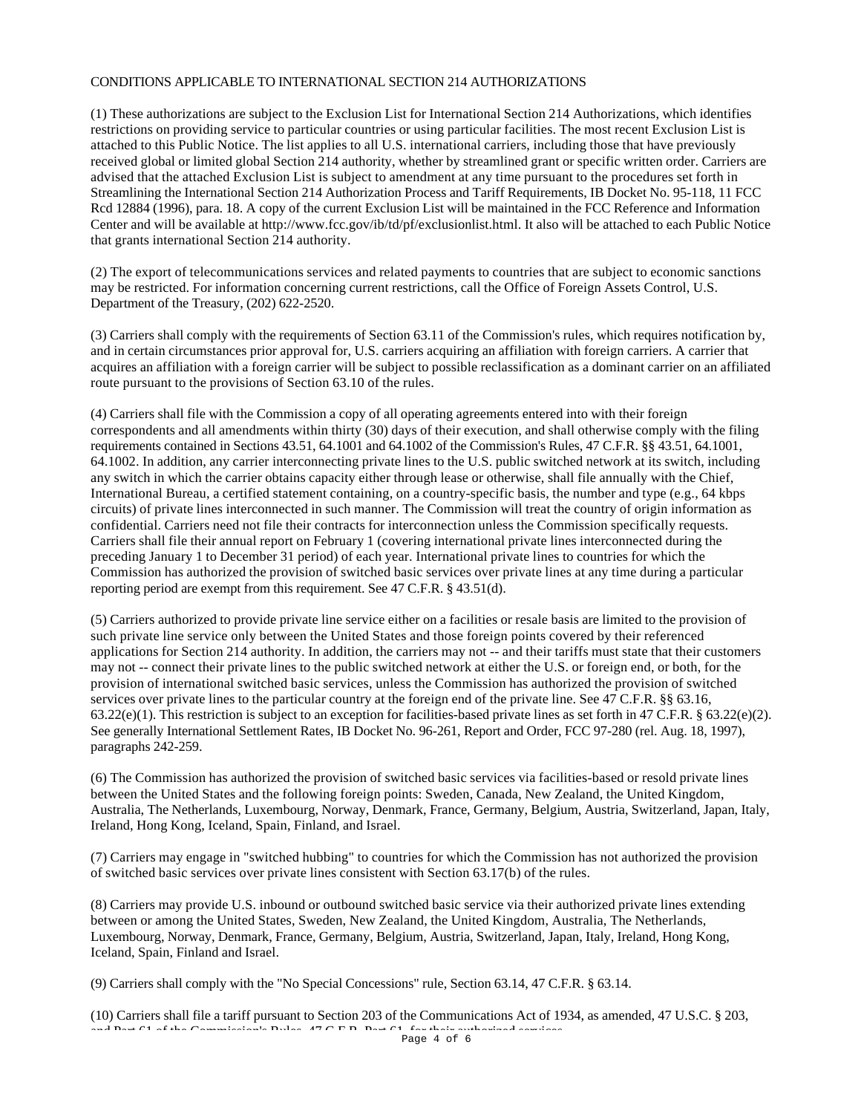## CONDITIONS APPLICABLE TO INTERNATIONAL SECTION 214 AUTHORIZATIONS

(1) These authorizations are subject to the Exclusion List for International Section 214 Authorizations, which identifies restrictions on providing service to particular countries or using particular facilities. The most recent Exclusion List is attached to this Public Notice. The list applies to all U.S. international carriers, including those that have previously received global or limited global Section 214 authority, whether by streamlined grant or specific written order. Carriers are advised that the attached Exclusion List is subject to amendment at any time pursuant to the procedures set forth in Streamlining the International Section 214 Authorization Process and Tariff Requirements, IB Docket No. 95-118, 11 FCC Rcd 12884 (1996), para. 18. A copy of the current Exclusion List will be maintained in the FCC Reference and Information Center and will be available at http://www.fcc.gov/ib/td/pf/exclusionlist.html. It also will be attached to each Public Notice that grants international Section 214 authority.

(2) The export of telecommunications services and related payments to countries that are subject to economic sanctions may be restricted. For information concerning current restrictions, call the Office of Foreign Assets Control, U.S. Department of the Treasury, (202) 622-2520.

(3) Carriers shall comply with the requirements of Section 63.11 of the Commission's rules, which requires notification by, and in certain circumstances prior approval for, U.S. carriers acquiring an affiliation with foreign carriers. A carrier that acquires an affiliation with a foreign carrier will be subject to possible reclassification as a dominant carrier on an affiliated route pursuant to the provisions of Section 63.10 of the rules.

(4) Carriers shall file with the Commission a copy of all operating agreements entered into with their foreign correspondents and all amendments within thirty (30) days of their execution, and shall otherwise comply with the filing requirements contained in Sections 43.51, 64.1001 and 64.1002 of the Commission's Rules, 47 C.F.R. §§ 43.51, 64.1001, 64.1002. In addition, any carrier interconnecting private lines to the U.S. public switched network at its switch, including any switch in which the carrier obtains capacity either through lease or otherwise, shall file annually with the Chief, International Bureau, a certified statement containing, on a country-specific basis, the number and type (e.g., 64 kbps circuits) of private lines interconnected in such manner. The Commission will treat the country of origin information as confidential. Carriers need not file their contracts for interconnection unless the Commission specifically requests. Carriers shall file their annual report on February 1 (covering international private lines interconnected during the preceding January 1 to December 31 period) of each year. International private lines to countries for which the Commission has authorized the provision of switched basic services over private lines at any time during a particular reporting period are exempt from this requirement. See 47 C.F.R. § 43.51(d).

(5) Carriers authorized to provide private line service either on a facilities or resale basis are limited to the provision of such private line service only between the United States and those foreign points covered by their referenced applications for Section 214 authority. In addition, the carriers may not -- and their tariffs must state that their customers may not -- connect their private lines to the public switched network at either the U.S. or foreign end, or both, for the provision of international switched basic services, unless the Commission has authorized the provision of switched services over private lines to the particular country at the foreign end of the private line. See 47 C.F.R. §§ 63.16,  $63.22(e)(1)$ . This restriction is subject to an exception for facilities-based private lines as set forth in 47 C.F.R. §  $63.22(e)(2)$ . See generally International Settlement Rates, IB Docket No. 96-261, Report and Order, FCC 97-280 (rel. Aug. 18, 1997), paragraphs 242-259.

(6) The Commission has authorized the provision of switched basic services via facilities-based or resold private lines between the United States and the following foreign points: Sweden, Canada, New Zealand, the United Kingdom, Australia, The Netherlands, Luxembourg, Norway, Denmark, France, Germany, Belgium, Austria, Switzerland, Japan, Italy, Ireland, Hong Kong, Iceland, Spain, Finland, and Israel.

(7) Carriers may engage in "switched hubbing" to countries for which the Commission has not authorized the provision of switched basic services over private lines consistent with Section 63.17(b) of the rules.

(8) Carriers may provide U.S. inbound or outbound switched basic service via their authorized private lines extending between or among the United States, Sweden, New Zealand, the United Kingdom, Australia, The Netherlands, Luxembourg, Norway, Denmark, France, Germany, Belgium, Austria, Switzerland, Japan, Italy, Ireland, Hong Kong, Iceland, Spain, Finland and Israel.

(9) Carriers shall comply with the "No Special Concessions" rule, Section 63.14, 47 C.F.R. § 63.14.

(10) Carriers shall file a tariff pursuant to Section 203 of the Communications Act of 1934, as amended, 47 U.S.C. § 203,  $\frac{1}{1}$  of the Community Rules,  $\frac{1}{1}$  of the Community Page 4 of 6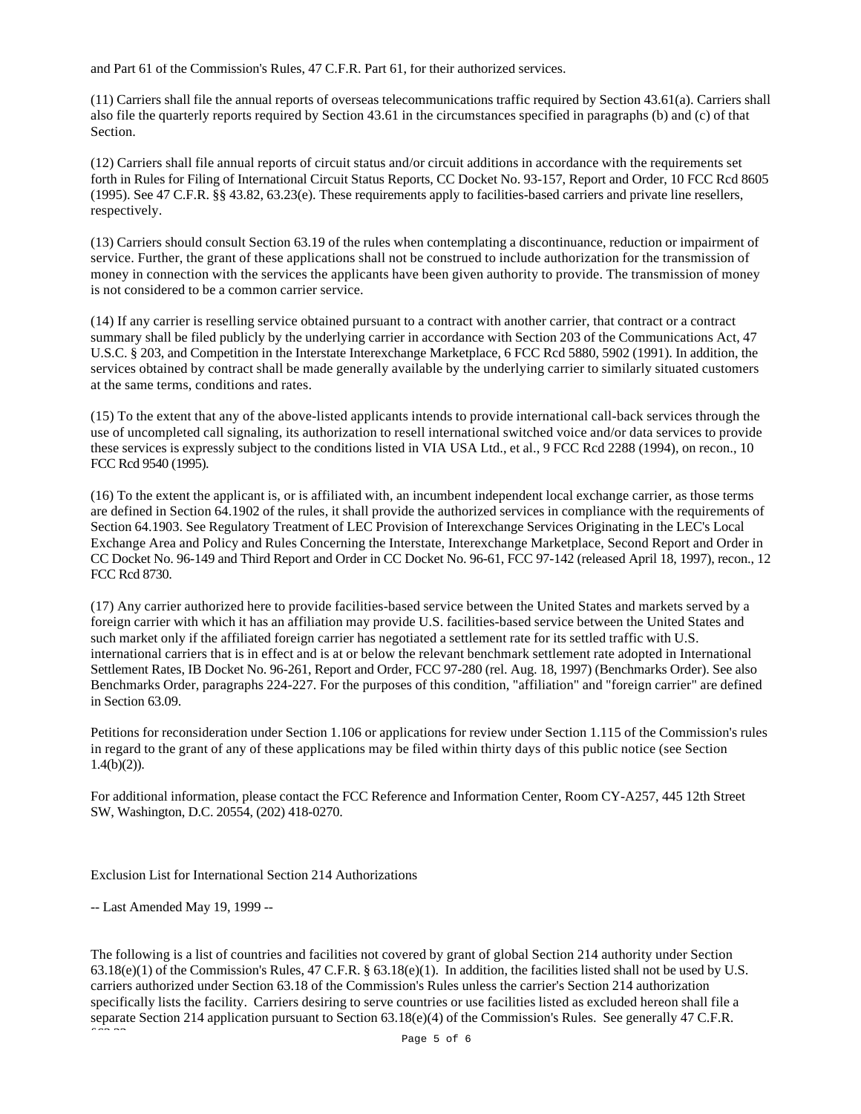and Part 61 of the Commission's Rules, 47 C.F.R. Part 61, for their authorized services.

(11) Carriers shall file the annual reports of overseas telecommunications traffic required by Section 43.61(a). Carriers shall also file the quarterly reports required by Section 43.61 in the circumstances specified in paragraphs (b) and (c) of that Section.

(12) Carriers shall file annual reports of circuit status and/or circuit additions in accordance with the requirements set forth in Rules for Filing of International Circuit Status Reports, CC Docket No. 93-157, Report and Order, 10 FCC Rcd 8605 (1995). See 47 C.F.R. §§ 43.82, 63.23(e). These requirements apply to facilities-based carriers and private line resellers, respectively.

(13) Carriers should consult Section 63.19 of the rules when contemplating a discontinuance, reduction or impairment of service. Further, the grant of these applications shall not be construed to include authorization for the transmission of money in connection with the services the applicants have been given authority to provide. The transmission of money is not considered to be a common carrier service.

(14) If any carrier is reselling service obtained pursuant to a contract with another carrier, that contract or a contract summary shall be filed publicly by the underlying carrier in accordance with Section 203 of the Communications Act, 47 U.S.C. § 203, and Competition in the Interstate Interexchange Marketplace, 6 FCC Rcd 5880, 5902 (1991). In addition, the services obtained by contract shall be made generally available by the underlying carrier to similarly situated customers at the same terms, conditions and rates.

(15) To the extent that any of the above-listed applicants intends to provide international call-back services through the use of uncompleted call signaling, its authorization to resell international switched voice and/or data services to provide these services is expressly subject to the conditions listed in VIA USA Ltd., et al., 9 FCC Rcd 2288 (1994), on recon., 10 FCC Rcd 9540 (1995).

(16) To the extent the applicant is, or is affiliated with, an incumbent independent local exchange carrier, as those terms are defined in Section 64.1902 of the rules, it shall provide the authorized services in compliance with the requirements of Section 64.1903. See Regulatory Treatment of LEC Provision of Interexchange Services Originating in the LEC's Local Exchange Area and Policy and Rules Concerning the Interstate, Interexchange Marketplace, Second Report and Order in CC Docket No. 96-149 and Third Report and Order in CC Docket No. 96-61, FCC 97-142 (released April 18, 1997), recon., 12 FCC Rcd 8730.

(17) Any carrier authorized here to provide facilities-based service between the United States and markets served by a foreign carrier with which it has an affiliation may provide U.S. facilities-based service between the United States and such market only if the affiliated foreign carrier has negotiated a settlement rate for its settled traffic with U.S. international carriers that is in effect and is at or below the relevant benchmark settlement rate adopted in International Settlement Rates, IB Docket No. 96-261, Report and Order, FCC 97-280 (rel. Aug. 18, 1997) (Benchmarks Order). See also Benchmarks Order, paragraphs 224-227. For the purposes of this condition, "affiliation" and "foreign carrier" are defined in Section 63.09.

Petitions for reconsideration under Section 1.106 or applications for review under Section 1.115 of the Commission's rules in regard to the grant of any of these applications may be filed within thirty days of this public notice (see Section  $1.4(b)(2)$ ).

For additional information, please contact the FCC Reference and Information Center, Room CY-A257, 445 12th Street SW, Washington, D.C. 20554, (202) 418-0270.

Exclusion List for International Section 214 Authorizations

-- Last Amended May 19, 1999 --

The following is a list of countries and facilities not covered by grant of global Section 214 authority under Section  $63.18(e)(1)$  of the Commission's Rules, 47 C.F.R. §  $63.18(e)(1)$ . In addition, the facilities listed shall not be used by U.S. carriers authorized under Section 63.18 of the Commission's Rules unless the carrier's Section 214 authorization specifically lists the facility. Carriers desiring to serve countries or use facilities listed as excluded hereon shall file a separate Section 214 application pursuant to Section 63.18(e)(4) of the Commission's Rules. See generally 47 C.F.R.